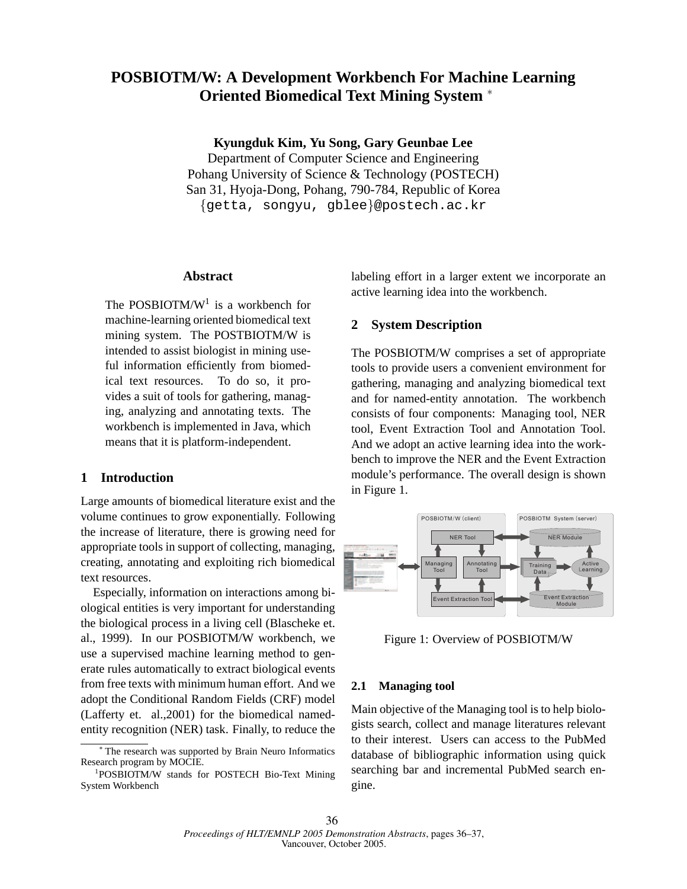# **POSBIOTM/W: A Development Workbench For Machine Learning Oriented Biomedical Text Mining System** <sup>∗</sup>

**Kyungduk Kim, Yu Song, Gary Geunbae Lee**

Department of Computer Science and Engineering Pohang University of Science & Technology (POSTECH) San 31, Hyoja-Dong, Pohang, 790-784, Republic of Korea {getta, songyu, gblee}@postech.ac.kr

## **Abstract**

The POSBIOTM/ $W<sup>1</sup>$  is a workbench for machine-learning oriented biomedical text mining system. The POSTBIOTM/W is intended to assist biologist in mining useful information efficiently from biomedical text resources. To do so, it provides a suit of tools for gathering, managing, analyzing and annotating texts. The workbench is implemented in Java, which means that it is platform-independent.

## **1 Introduction**

Large amounts of biomedical literature exist and the volume continues to grow exponentially. Following the increase of literature, there is growing need for appropriate tools in support of collecting, managing, creating, annotating and exploiting rich biomedical text resources.

Especially, information on interactions among biological entities is very important for understanding the biological process in a living cell (Blascheke et. al., 1999). In our POSBIOTM/W workbench, we use a supervised machine learning method to generate rules automatically to extract biological events from free texts with minimum human effort. And we adopt the Conditional Random Fields (CRF) model (Lafferty et. al.,2001) for the biomedical namedentity recognition (NER) task. Finally, to reduce the labeling effort in a larger extent we incorporate an active learning idea into the workbench.

### **2 System Description**

The POSBIOTM/W comprises a set of appropriate tools to provide users a convenient environment for gathering, managing and analyzing biomedical text and for named-entity annotation. The workbench consists of four components: Managing tool, NER tool, Event Extraction Tool and Annotation Tool. And we adopt an active learning idea into the workbench to improve the NER and the Event Extraction module's performance. The overall design is shown in Figure 1.



Figure 1: Overview of POSBIOTM/W

#### **2.1 Managing tool**

Main objective of the Managing tool is to help biologists search, collect and manage literatures relevant to their interest. Users can access to the PubMed database of bibliographic information using quick searching bar and incremental PubMed search engine.

<sup>∗</sup> The research was supported by Brain Neuro Informatics Research program by MOCIE.

<sup>1</sup> POSBIOTM/W stands for POSTECH Bio-Text Mining System Workbench